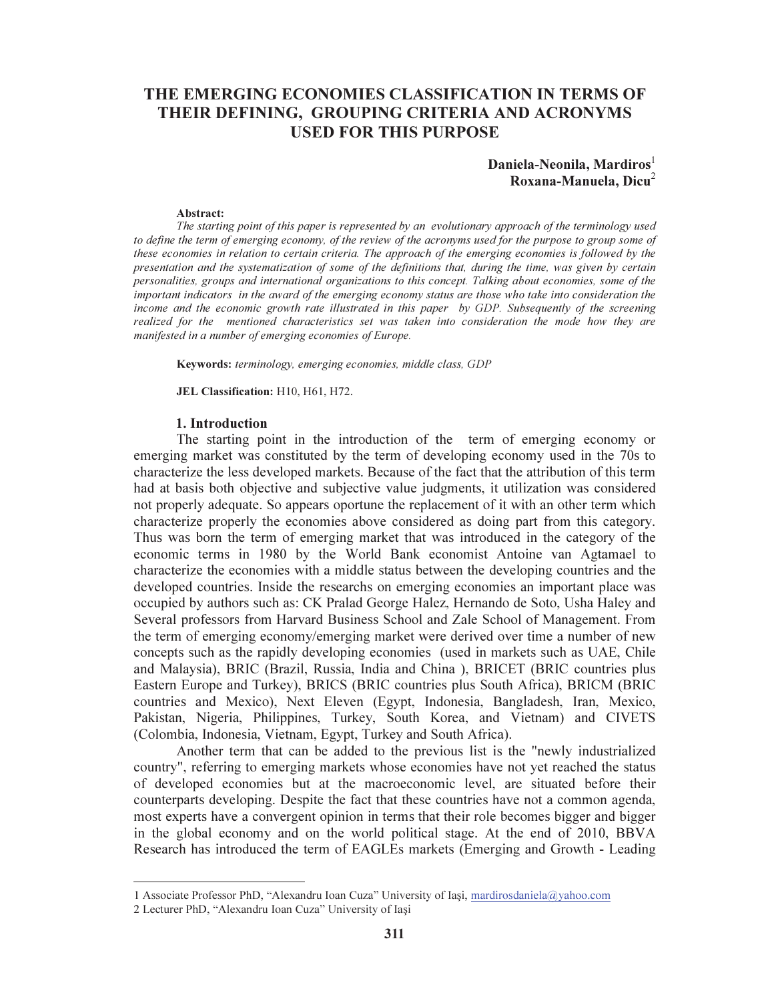# THE EMERGING ECONOMIES CLASSIFICATION IN TERMS OF THEIR DEFINING, GROUPING CRITERIA AND ACRONYMS USED FOR THIS PURPOSE

### Daniela-Neonila, Mardiros<sup>1</sup> Roxana-Manuela, Dicu $2$

#### Abstract:

The starting point of this paper is represented by an evolutionary approach of the terminology used to define the term of emerging economy, of the review of the acronyms used for the purpose to group some of these economies in relation to certain criteria. The approach of the emerging economies is followed by the presentation and the systematization of some of the definitions that, during the time, was given by certain personalities, groups and international organizations to this concept. Talking about economies, some of the important indicators in the award of the emerging economy status are those who take into consideration the income and the economic growth rate illustrated in this paper by GDP. Subsequently of the screening realized for the mentioned characteristics set was taken into consideration the mode how they are manifested in a number of emerging economies of Europe.

Keywords: terminology, emerging economies, middle class, GDP

JEL Classification: H10, H61, H72.

#### 1. Introduction

The starting point in the introduction of the term of emerging economy or emerging market was constituted by the term of developing economy used in the 70s to characterize the less developed markets. Because of the fact that the attribution of this term had at basis both objective and subjective value judgments, it utilization was considered not properly adequate. So appears oportune the replacement of it with an other term which characterize properly the economies above considered as doing part from this category. Thus was born the term of emerging market that was introduced in the category of the economic terms in 1980 by the World Bank economist Antoine van Agtamael to characterize the economies with a middle status between the developing countries and the developed countries. Inside the researchs on emerging economies an important place was occupied by authors such as: CK Pralad George Halez, Hernando de Soto, Usha Haley and Several professors from Harvard Business School and Zale School of Management. From the term of emerging economy/emerging market were derived over time a number of new concepts such as the rapidly developing economies (used in markets such as UAE, Chile and Malaysia), BRIC (Brazil, Russia, India and China ), BRICET (BRIC countries plus Eastern Europe and Turkey), BRICS (BRIC countries plus South Africa), BRICM (BRIC countries and Mexico), Next Eleven (Egypt, Indonesia, Bangladesh, Iran, Mexico, Pakistan, Nigeria, Philippines, Turkey, South Korea, and Vietnam) and CIVETS (Colombia, Indonesia, Vietnam, Egypt, Turkey and South Africa).

Another term that can be added to the previous list is the "newly industrialized country", referring to emerging markets whose economies have not yet reached the status of developed economies but at the macroeconomic level, are situated before their counterparts developing. Despite the fact that these countries have not a common agenda, most experts have a convergent opinion in terms that their role becomes bigger and bigger in the global economy and on the world political stage. At the end of 2010, BBVA Research has introduced the term of EAGLEs markets (Emerging and Growth - Leading

<sup>1</sup> Associate Professor PhD, "Alexandru Ioan Cuza" University of Iaşi, mardirosdaniela@yahoo.com

<sup>2</sup> Lecturer PhD, "Alexandru Ioan Cuza" University of Iaşi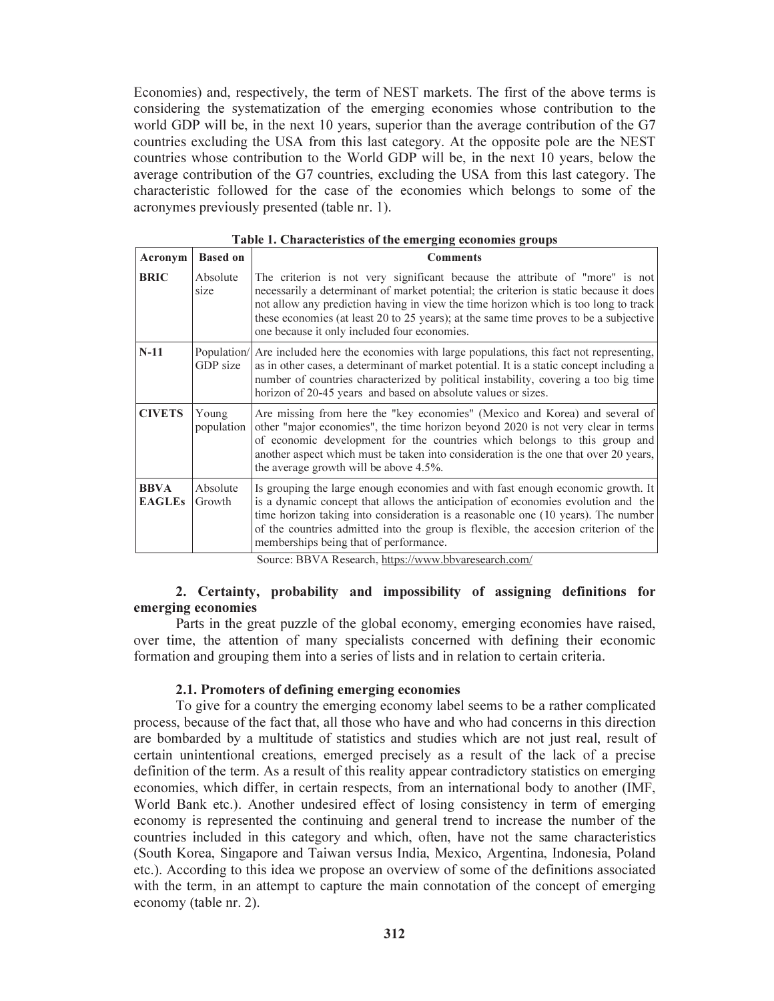Economies) and, respectively, the term of NEST markets. The first of the above terms is considering the systematization of the emerging economies whose contribution to the world GDP will be, in the next 10 years, superior than the average contribution of the G7 countries excluding the USA from this last category. At the opposite pole are the NEST countries whose contribution to the World GDP will be, in the next 10 years, below the average contribution of the G7 countries, excluding the USA from this last category. The characteristic followed for the case of the economies which belongs to some of the acronymes previously presented (table nr. 1).

| Acronym                      | <b>Based on</b>     | <b>Comments</b>                                                                                                                                                                                                                                                                                                                                                                                        |
|------------------------------|---------------------|--------------------------------------------------------------------------------------------------------------------------------------------------------------------------------------------------------------------------------------------------------------------------------------------------------------------------------------------------------------------------------------------------------|
| <b>BRIC</b>                  | Absolute<br>size    | The criterion is not very significant because the attribute of "more" is not<br>necessarily a determinant of market potential; the criterion is static because it does<br>not allow any prediction having in view the time horizon which is too long to track<br>these economies (at least 20 to 25 years); at the same time proves to be a subjective<br>one because it only included four economies. |
| $N-11$                       | GDP size            | Population/ Are included here the economies with large populations, this fact not representing,<br>as in other cases, a determinant of market potential. It is a static concept including a<br>number of countries characterized by political instability, covering a too big time<br>horizon of 20-45 years and based on absolute values or sizes.                                                    |
| <b>CIVETS</b>                | Young<br>population | Are missing from here the "key economies" (Mexico and Korea) and several of<br>other "major economies", the time horizon beyond 2020 is not very clear in terms<br>of economic development for the countries which belongs to this group and<br>another aspect which must be taken into consideration is the one that over 20 years,<br>the average growth will be above 4.5%.                         |
| <b>BBVA</b><br><b>EAGLEs</b> | Absolute<br>Growth  | Is grouping the large enough economies and with fast enough economic growth. It<br>is a dynamic concept that allows the anticipation of economies evolution and the<br>time horizon taking into consideration is a reasonable one (10 years). The number<br>of the countries admitted into the group is flexible, the accesion criterion of the<br>memberships being that of performance.              |

Table 1. Characteristics of the emerging economies groups

Source: BBVA Research, https://www.bbvaresearch.com/

## 2. Certainty, probability and impossibility of assigning definitions for emerging economies

Parts in the great puzzle of the global economy, emerging economies have raised, over time, the attention of many specialists concerned with defining their economic formation and grouping them into a series of lists and in relation to certain criteria.

### 2.1. Promoters of defining emerging economies

To give for a country the emerging economy label seems to be a rather complicated process, because of the fact that, all those who have and who had concerns in this direction are bombarded by a multitude of statistics and studies which are not just real, result of certain unintentional creations, emerged precisely as a result of the lack of a precise definition of the term. As a result of this reality appear contradictory statistics on emerging economies, which differ, in certain respects, from an international body to another (IMF, World Bank etc.). Another undesired effect of losing consistency in term of emerging economy is represented the continuing and general trend to increase the number of the countries included in this category and which, often, have not the same characteristics (South Korea, Singapore and Taiwan versus India, Mexico, Argentina, Indonesia, Poland etc.). According to this idea we propose an overview of some of the definitions associated with the term, in an attempt to capture the main connotation of the concept of emerging economy (table nr. 2).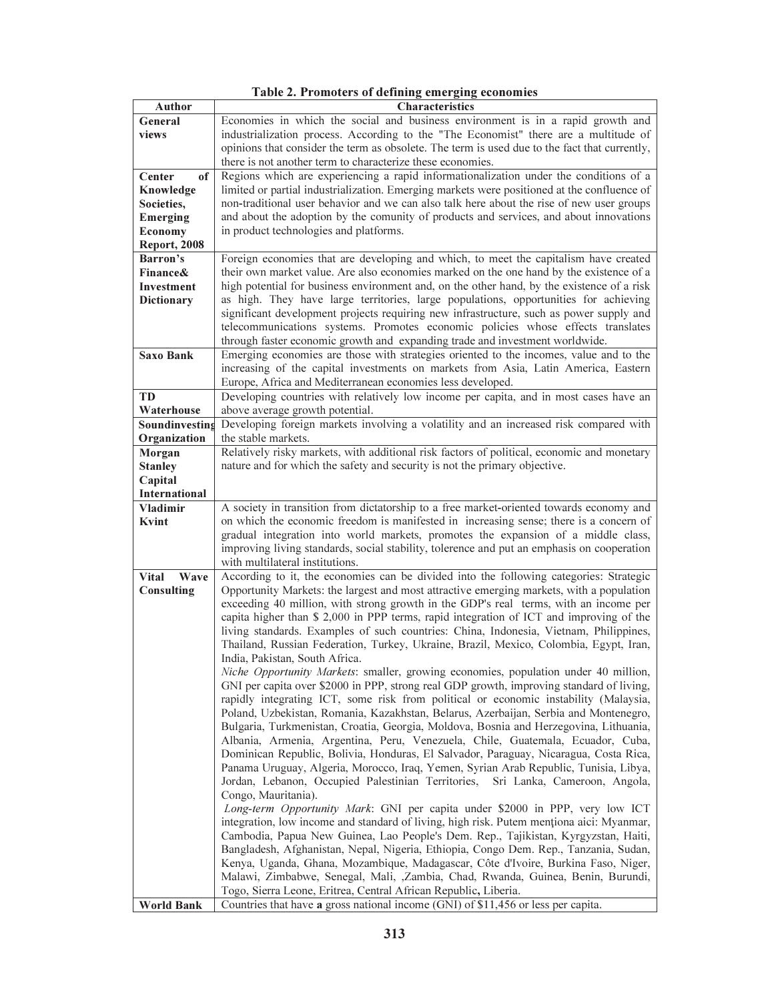| Author                  | Characteristics                                                                                                                                                            |  |  |  |  |  |  |  |
|-------------------------|----------------------------------------------------------------------------------------------------------------------------------------------------------------------------|--|--|--|--|--|--|--|
| General                 | Economies in which the social and business environment is in a rapid growth and                                                                                            |  |  |  |  |  |  |  |
| views                   | industrialization process. According to the "The Economist" there are a multitude of                                                                                       |  |  |  |  |  |  |  |
|                         | opinions that consider the term as obsolete. The term is used due to the fact that currently,                                                                              |  |  |  |  |  |  |  |
|                         | there is not another term to characterize these economies.                                                                                                                 |  |  |  |  |  |  |  |
| Center<br>of            | Regions which are experiencing a rapid informationalization under the conditions of a                                                                                      |  |  |  |  |  |  |  |
| Knowledge               | limited or partial industrialization. Emerging markets were positioned at the confluence of                                                                                |  |  |  |  |  |  |  |
| Societies,              | non-traditional user behavior and we can also talk here about the rise of new user groups                                                                                  |  |  |  |  |  |  |  |
| <b>Emerging</b>         | and about the adoption by the comunity of products and services, and about innovations                                                                                     |  |  |  |  |  |  |  |
| Economy                 | in product technologies and platforms.                                                                                                                                     |  |  |  |  |  |  |  |
| <b>Report, 2008</b>     |                                                                                                                                                                            |  |  |  |  |  |  |  |
| <b>Barron's</b>         | Foreign economies that are developing and which, to meet the capitalism have created                                                                                       |  |  |  |  |  |  |  |
| <b>Finance&amp;</b>     | their own market value. Are also economies marked on the one hand by the existence of a                                                                                    |  |  |  |  |  |  |  |
| Investment              | high potential for business environment and, on the other hand, by the existence of a risk                                                                                 |  |  |  |  |  |  |  |
| <b>Dictionary</b>       | as high. They have large territories, large populations, opportunities for achieving                                                                                       |  |  |  |  |  |  |  |
|                         | significant development projects requiring new infrastructure, such as power supply and<br>telecommunications systems. Promotes economic policies whose effects translates |  |  |  |  |  |  |  |
|                         |                                                                                                                                                                            |  |  |  |  |  |  |  |
|                         | through faster economic growth and expanding trade and investment worldwide.                                                                                               |  |  |  |  |  |  |  |
| <b>Saxo Bank</b>        | Emerging economies are those with strategies oriented to the incomes, value and to the                                                                                     |  |  |  |  |  |  |  |
|                         | increasing of the capital investments on markets from Asia, Latin America, Eastern                                                                                         |  |  |  |  |  |  |  |
|                         | Europe, Africa and Mediterranean economies less developed.                                                                                                                 |  |  |  |  |  |  |  |
| <b>TD</b><br>Waterhouse | Developing countries with relatively low income per capita, and in most cases have an                                                                                      |  |  |  |  |  |  |  |
| Soundinvesting          | above average growth potential.<br>Developing foreign markets involving a volatility and an increased risk compared with                                                   |  |  |  |  |  |  |  |
| Organization            | the stable markets.                                                                                                                                                        |  |  |  |  |  |  |  |
| Morgan                  | Relatively risky markets, with additional risk factors of political, economic and monetary                                                                                 |  |  |  |  |  |  |  |
| <b>Stanley</b>          | nature and for which the safety and security is not the primary objective.                                                                                                 |  |  |  |  |  |  |  |
| Capital                 |                                                                                                                                                                            |  |  |  |  |  |  |  |
| International           |                                                                                                                                                                            |  |  |  |  |  |  |  |
| <b>Vladimir</b>         | A society in transition from dictatorship to a free market-oriented towards economy and                                                                                    |  |  |  |  |  |  |  |
| Kvint                   | on which the economic freedom is manifested in increasing sense; there is a concern of                                                                                     |  |  |  |  |  |  |  |
|                         | gradual integration into world markets, promotes the expansion of a middle class,                                                                                          |  |  |  |  |  |  |  |
|                         | improving living standards, social stability, tolerence and put an emphasis on cooperation                                                                                 |  |  |  |  |  |  |  |
|                         | with multilateral institutions.                                                                                                                                            |  |  |  |  |  |  |  |
| Wave<br>Vital           | According to it, the economies can be divided into the following categories: Strategic                                                                                     |  |  |  |  |  |  |  |
| <b>Consulting</b>       | Opportunity Markets: the largest and most attractive emerging markets, with a population                                                                                   |  |  |  |  |  |  |  |
|                         | exceeding 40 million, with strong growth in the GDP's real terms, with an income per                                                                                       |  |  |  |  |  |  |  |
|                         | capita higher than \$ 2,000 in PPP terms, rapid integration of ICT and improving of the                                                                                    |  |  |  |  |  |  |  |
|                         | living standards. Examples of such countries: China, Indonesia, Vietnam, Philippines,                                                                                      |  |  |  |  |  |  |  |
|                         | Thailand, Russian Federation, Turkey, Ukraine, Brazil, Mexico, Colombia, Egypt, Iran,                                                                                      |  |  |  |  |  |  |  |
|                         | India, Pakistan, South Africa.                                                                                                                                             |  |  |  |  |  |  |  |
|                         | Niche Opportunity Markets: smaller, growing economies, population under 40 million,                                                                                        |  |  |  |  |  |  |  |
|                         | GNI per capita over \$2000 in PPP, strong real GDP growth, improving standard of living,                                                                                   |  |  |  |  |  |  |  |
|                         | rapidly integrating ICT, some risk from political or economic instability (Malaysia,                                                                                       |  |  |  |  |  |  |  |
|                         | Poland, Uzbekistan, Romania, Kazakhstan, Belarus, Azerbaijan, Serbia and Montenegro,                                                                                       |  |  |  |  |  |  |  |
|                         | Bulgaria, Turkmenistan, Croatia, Georgia, Moldova, Bosnia and Herzegovina, Lithuania,                                                                                      |  |  |  |  |  |  |  |
|                         | Albania, Armenia, Argentina, Peru, Venezuela, Chile, Guatemala, Ecuador, Cuba,                                                                                             |  |  |  |  |  |  |  |
|                         | Dominican Republic, Bolivia, Honduras, El Salvador, Paraguay, Nicaragua, Costa Rica,                                                                                       |  |  |  |  |  |  |  |
|                         | Panama Uruguay, Algeria, Morocco, Iraq, Yemen, Syrian Arab Republic, Tunisia, Libya,                                                                                       |  |  |  |  |  |  |  |
|                         | Jordan, Lebanon, Occupied Palestinian Territories,<br>Sri Lanka, Cameroon, Angola,                                                                                         |  |  |  |  |  |  |  |
|                         | Congo, Mauritania).                                                                                                                                                        |  |  |  |  |  |  |  |
|                         | Long-term Opportunity Mark: GNI per capita under \$2000 in PPP, very low ICT                                                                                               |  |  |  |  |  |  |  |
|                         | integration, low income and standard of living, high risk. Putem mentiona aici: Myanmar,                                                                                   |  |  |  |  |  |  |  |
|                         | Cambodia, Papua New Guinea, Lao People's Dem. Rep., Tajikistan, Kyrgyzstan, Haiti,                                                                                         |  |  |  |  |  |  |  |
|                         | Bangladesh, Afghanistan, Nepal, Nigeria, Ethiopia, Congo Dem. Rep., Tanzania, Sudan,                                                                                       |  |  |  |  |  |  |  |
|                         | Kenya, Uganda, Ghana, Mozambique, Madagascar, Côte d'Ivoire, Burkina Faso, Niger,<br>Malawi, Zimbabwe, Senegal, Mali, ,Zambia, Chad, Rwanda, Guinea, Benin, Burundi,       |  |  |  |  |  |  |  |
|                         | Togo, Sierra Leone, Eritrea, Central African Republic, Liberia.                                                                                                            |  |  |  |  |  |  |  |
| <b>World Bank</b>       | Countries that have a gross national income (GNI) of \$11,456 or less per capita.                                                                                          |  |  |  |  |  |  |  |
|                         |                                                                                                                                                                            |  |  |  |  |  |  |  |

Table 2. Promoters of defining emerging economies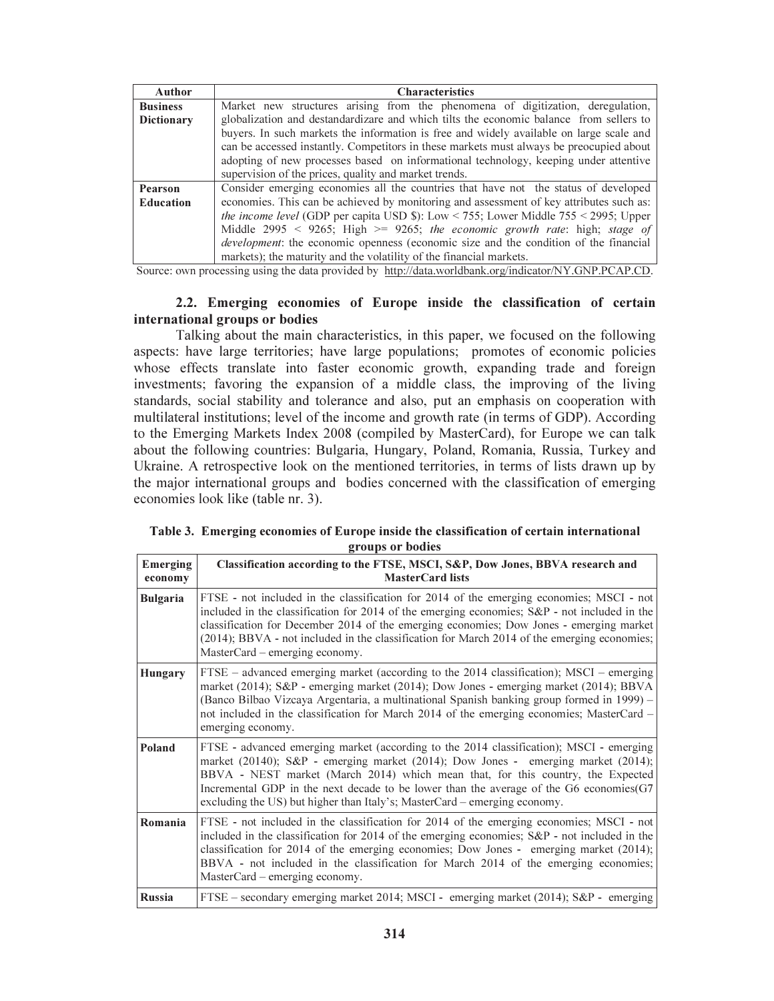| Author            | <b>Characteristics</b>                                                                        |  |  |  |  |  |  |  |
|-------------------|-----------------------------------------------------------------------------------------------|--|--|--|--|--|--|--|
| <b>Business</b>   | Market new structures arising from the phenomena of digitization, deregulation,               |  |  |  |  |  |  |  |
| <b>Dictionary</b> | globalization and destandardizare and which tilts the economic balance from sellers to        |  |  |  |  |  |  |  |
|                   | buyers. In such markets the information is free and widely available on large scale and       |  |  |  |  |  |  |  |
|                   | can be accessed instantly. Competitors in these markets must always be preocupied about       |  |  |  |  |  |  |  |
|                   | adopting of new processes based on informational technology, keeping under attentive          |  |  |  |  |  |  |  |
|                   | supervision of the prices, quality and market trends.                                         |  |  |  |  |  |  |  |
| Pearson           | Consider emerging economies all the countries that have not the status of developed           |  |  |  |  |  |  |  |
| <b>Education</b>  | economies. This can be achieved by monitoring and assessment of key attributes such as:       |  |  |  |  |  |  |  |
|                   | <i>the income level</i> (GDP per capita USD \$): Low < 755; Lower Middle $755 < 2995$ ; Upper |  |  |  |  |  |  |  |
|                   | Middle 2995 < 9265; High > 9265; the economic growth rate: high; stage of                     |  |  |  |  |  |  |  |
|                   | <i>development</i> : the economic openness (economic size and the condition of the financial  |  |  |  |  |  |  |  |
|                   | markets); the maturity and the volatility of the financial markets.                           |  |  |  |  |  |  |  |

Source: own processing using the data provided by http://data.worldbank.org/indicator/NY.GNP.PCAP.CD.

# 2.2. Emerging economies of Europe inside the classification of certain international groups or bodies

Talking about the main characteristics, in this paper, we focused on the following aspects: have large territories; have large populations; promotes of economic policies whose effects translate into faster economic growth, expanding trade and foreign investments; favoring the expansion of a middle class, the improving of the living standards, social stability and tolerance and also, put an emphasis on cooperation with multilateral institutions; level of the income and growth rate (in terms of GDP). According to the Emerging Markets Index 2008 (compiled by MasterCard), for Europe we can talk about the following countries: Bulgaria, Hungary, Poland, Romania, Russia, Turkey and Ukraine. A retrospective look on the mentioned territories, in terms of lists drawn up by the major international groups and bodies concerned with the classification of emerging economies look like (table nr. 3).

Table 3. Emerging economies of Europe inside the classification of certain international groups or bodies

| Emerging<br>economy | Classification according to the FTSE, MSCI, S&P, Dow Jones, BBVA research and<br><b>MasterCard lists</b>                                                                                                                                                                                                                                                                                                                                  |
|---------------------|-------------------------------------------------------------------------------------------------------------------------------------------------------------------------------------------------------------------------------------------------------------------------------------------------------------------------------------------------------------------------------------------------------------------------------------------|
| <b>Bulgaria</b>     | FTSE - not included in the classification for 2014 of the emerging economies; MSCI - not<br>included in the classification for 2014 of the emerging economies; S&P - not included in the<br>classification for December 2014 of the emerging economies; Dow Jones - emerging market<br>(2014); BBVA - not included in the classification for March 2014 of the emerging economies;<br>MasterCard – emerging economy.                      |
| <b>Hungary</b>      | $FTSE - advanced emerging market (according to the 2014 classification); MSCI - emerging$<br>market (2014); S&P - emerging market (2014); Dow Jones - emerging market (2014); BBVA<br>(Banco Bilbao Vizcaya Argentaria, a multinational Spanish banking group formed in 1999) -<br>not included in the classification for March 2014 of the emerging economies; MasterCard –<br>emerging economy.                                         |
| Poland              | FTSE - advanced emerging market (according to the 2014 classification); MSCI - emerging<br>market (2014); S&P - emerging market (2014); Dow Jones - emerging market (2014);<br>BBVA - NEST market (March 2014) which mean that, for this country, the Expected<br>Incremental GDP in the next decade to be lower than the average of the G6 economies $(G7)$<br>excluding the US) but higher than Italy's; MasterCard – emerging economy. |
| Romania             | FTSE - not included in the classification for 2014 of the emerging economies; MSCI - not<br>included in the classification for 2014 of the emerging economies; S&P - not included in the<br>classification for 2014 of the emerging economies; Dow Jones - emerging market (2014);<br>BBVA - not included in the classification for March 2014 of the emerging economies;<br>MasterCard – emerging economy.                               |
| <b>Russia</b>       | FTSE – secondary emerging market 2014; MSCI - emerging market (2014); S&P - emerging                                                                                                                                                                                                                                                                                                                                                      |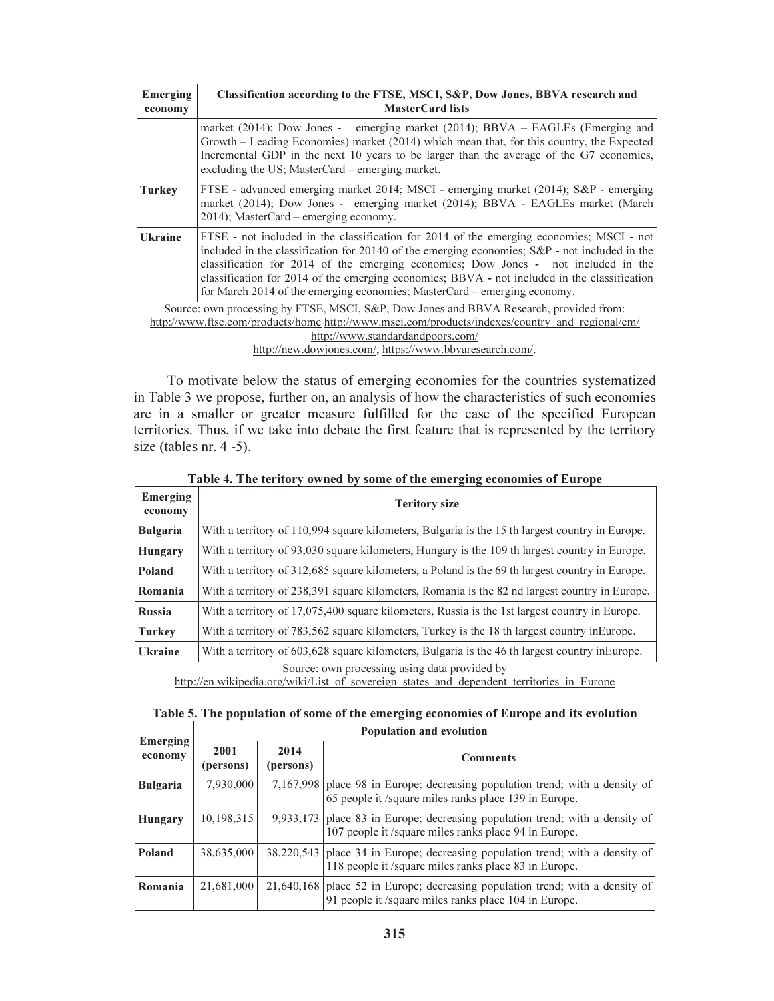| Emerging<br>economy                                                                         | Classification according to the FTSE, MSCI, S&P, Dow Jones, BBVA research and<br><b>MasterCard lists</b>                                                                                                                                                                                                                                                                                                                                                    |  |  |  |  |  |  |
|---------------------------------------------------------------------------------------------|-------------------------------------------------------------------------------------------------------------------------------------------------------------------------------------------------------------------------------------------------------------------------------------------------------------------------------------------------------------------------------------------------------------------------------------------------------------|--|--|--|--|--|--|
|                                                                                             | market (2014); Dow Jones - emerging market (2014); $BBVA - EAGLES$ (Emerging and<br>Growth – Leading Economies) market (2014) which mean that, for this country, the Expected<br>Incremental GDP in the next 10 years to be larger than the average of the G7 economies,<br>excluding the US; MasterCard – emerging market.                                                                                                                                 |  |  |  |  |  |  |
| <b>Turkey</b>                                                                               | FTSE - advanced emerging market 2014; MSCI - emerging market (2014); S&P - emerging<br>market (2014); Dow Jones - emerging market (2014); BBVA - EAGLEs market (March<br>2014); MasterCard – emerging economy.                                                                                                                                                                                                                                              |  |  |  |  |  |  |
| <b>Ukraine</b>                                                                              | FTSE - not included in the classification for 2014 of the emerging economies; MSCI - not<br>included in the classification for 20140 of the emerging economies; S&P - not included in the<br>classification for 2014 of the emerging economies; Dow Jones - not included in the<br>classification for 2014 of the emerging economies; BBVA - not included in the classification<br>for March 2014 of the emerging economies; MasterCard – emerging economy. |  |  |  |  |  |  |
|                                                                                             | Source: own processing by FTSE, MSCI, S&P, Dow Jones and BBVA Research, provided from:                                                                                                                                                                                                                                                                                                                                                                      |  |  |  |  |  |  |
|                                                                                             | http://www.ftse.com/products/home_http://www.msci.com/products/indexes/country_and_regional/em/                                                                                                                                                                                                                                                                                                                                                             |  |  |  |  |  |  |
| http://www.standardandpoors.com/                                                            |                                                                                                                                                                                                                                                                                                                                                                                                                                                             |  |  |  |  |  |  |
| 1. <i>1</i> 1 . <i>1</i> . <i>1</i> . <i>1</i> . <i>1</i> . <b>11</b> . <b>1</b> . <i>1</i> |                                                                                                                                                                                                                                                                                                                                                                                                                                                             |  |  |  |  |  |  |

http://new.dowjones.com/, https://www.bbvaresearch.com/.

To motivate below the status of emerging economies for the countries systematized in Table 3 we propose, further on, an analysis of how the characteristics of such economies are in a smaller or greater measure fulfilled for the case of the specified European territories. Thus, if we take into debate the first feature that is represented by the territory size (tables nr. 4 -5).

| Emerging<br>economy | <b>Teritory size</b>                                                                            |  |  |  |  |  |  |  |
|---------------------|-------------------------------------------------------------------------------------------------|--|--|--|--|--|--|--|
| <b>Bulgaria</b>     | With a territory of 110,994 square kilometers, Bulgaria is the 15 th largest country in Europe. |  |  |  |  |  |  |  |
| <b>Hungary</b>      | With a territory of 93,030 square kilometers, Hungary is the 109 th largest country in Europe.  |  |  |  |  |  |  |  |
| Poland              | With a territory of 312,685 square kilometers, a Poland is the 69 th largest country in Europe. |  |  |  |  |  |  |  |
| Romania             | With a territory of 238,391 square kilometers, Romania is the 82 nd largest country in Europe.  |  |  |  |  |  |  |  |
| Russia              | With a territory of 17,075,400 square kilometers, Russia is the 1st largest country in Europe.  |  |  |  |  |  |  |  |
| <b>Turkey</b>       | With a territory of 783,562 square kilometers, Turkey is the 18 th largest country in Europe.   |  |  |  |  |  |  |  |
| <b>Ukraine</b>      | With a territory of 603,628 square kilometers, Bulgaria is the 46 th largest country in Europe. |  |  |  |  |  |  |  |
|                     | Source: own processing using data provided by                                                   |  |  |  |  |  |  |  |

http://en.wikipedia.org/wiki/List\_of\_sovereign\_states\_and\_dependent\_territories\_in\_Europe Table 5. The population of some of the emerging economies of Europe and its evolution

| Emerging<br>economy | <b>Population and evolution</b> |                   |                                                                                                                                          |  |  |  |  |
|---------------------|---------------------------------|-------------------|------------------------------------------------------------------------------------------------------------------------------------------|--|--|--|--|
|                     | 2001<br>(persons)               | 2014<br>(persons) | <b>Comments</b>                                                                                                                          |  |  |  |  |
| <b>Bulgaria</b>     | 7,930,000                       |                   | 7,167,998 place 98 in Europe; decreasing population trend; with a density of<br>65 people it /square miles ranks place 139 in Europe.    |  |  |  |  |
| <b>Hungary</b>      | 10,198,315                      |                   | $9,933,173$ place 83 in Europe; decreasing population trend; with a density of<br>107 people it /square miles ranks place 94 in Europe.  |  |  |  |  |
| <b>Poland</b>       | 38,635,000                      |                   | 38,220,543 place 34 in Europe; decreasing population trend; with a density of<br>118 people it /square miles ranks place 83 in Europe.   |  |  |  |  |
| Romania             | 21,681,000                      |                   | $21,640,168$ place 52 in Europe; decreasing population trend; with a density of<br>91 people it /square miles ranks place 104 in Europe. |  |  |  |  |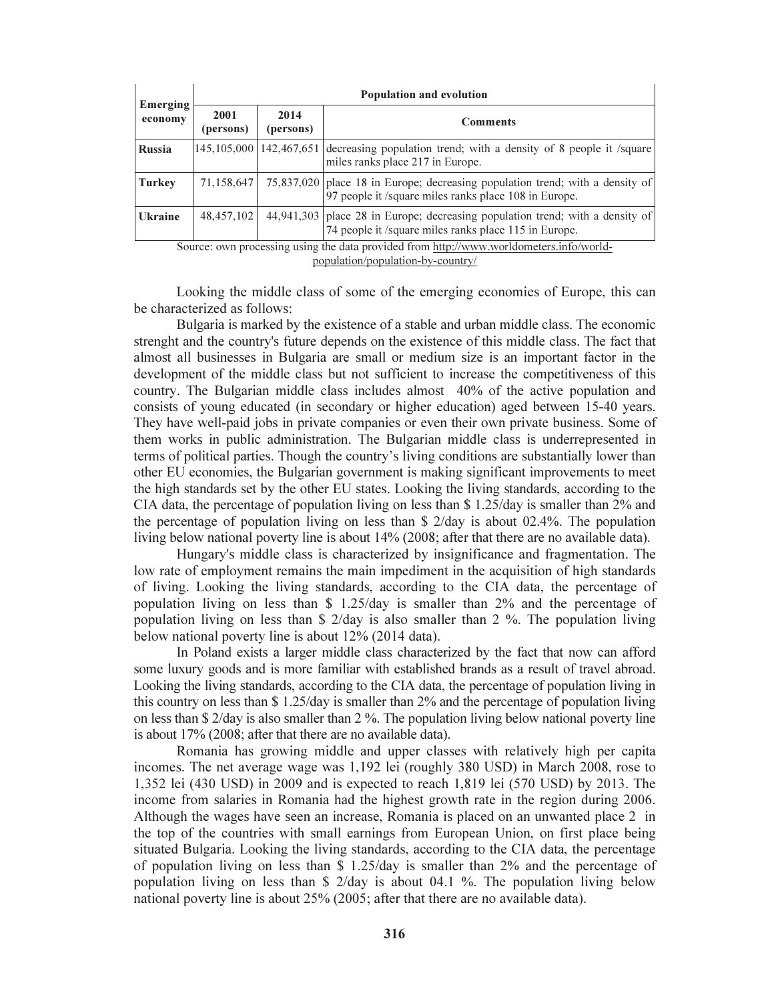| Emerging<br>economy | <b>Population and evolution</b> |                               |                                                                                                                                        |  |  |  |  |
|---------------------|---------------------------------|-------------------------------|----------------------------------------------------------------------------------------------------------------------------------------|--|--|--|--|
|                     | 2001<br>(persons)               | 2014<br>(persons)             | <b>Comments</b>                                                                                                                        |  |  |  |  |
| <b>Russia</b>       |                                 | 145, 105, 000   142, 467, 651 | decreasing population trend; with a density of 8 people it /square<br>miles ranks place 217 in Europe.                                 |  |  |  |  |
| <b>Turkey</b>       | 71,158,647                      |                               | 75,837,020 place 18 in Europe; decreasing population trend; with a density of<br>97 people it /square miles ranks place 108 in Europe. |  |  |  |  |
| <b>Ukraine</b>      | 48, 457, 102                    |                               | 44,941,303 place 28 in Europe; decreasing population trend; with a density of<br>74 people it /square miles ranks place 115 in Europe. |  |  |  |  |

Source: own processing using the data provided from http://www.worldometers.info/world-

population/population-by-country/

Looking the middle class of some of the emerging economies of Europe, this can be characterized as follows:

Bulgaria is marked by the existence of a stable and urban middle class. The economic strenght and the country's future depends on the existence of this middle class. The fact that almost all businesses in Bulgaria are small or medium size is an important factor in the development of the middle class but not sufficient to increase the competitiveness of this country. The Bulgarian middle class includes almost 40% of the active population and consists of young educated (in secondary or higher education) aged between 15-40 years. They have well-paid jobs in private companies or even their own private business. Some of them works in public administration. The Bulgarian middle class is underrepresented in terms of political parties. Though the country's living conditions are substantially lower than other EU economies, the Bulgarian government is making significant improvements to meet the high standards set by the other EU states. Looking the living standards, according to the CIA data, the percentage of population living on less than \$ 1.25/day is smaller than 2% and the percentage of population living on less than \$ 2/day is about 02.4%. The population living below national poverty line is about 14% (2008; after that there are no available data).

Hungary's middle class is characterized by insignificance and fragmentation. The low rate of employment remains the main impediment in the acquisition of high standards of living. Looking the living standards, according to the CIA data, the percentage of population living on less than \$ 1.25/day is smaller than 2% and the percentage of population living on less than \$ 2/day is also smaller than 2 %. The population living below national poverty line is about 12% (2014 data).

In Poland exists a larger middle class characterized by the fact that now can afford some luxury goods and is more familiar with established brands as a result of travel abroad. Looking the living standards, according to the CIA data, the percentage of population living in this country on less than \$ 1.25/day is smaller than 2% and the percentage of population living on less than \$ 2/day is also smaller than 2 %. The population living below national poverty line is about 17% (2008; after that there are no available data).

Romania has growing middle and upper classes with relatively high per capita incomes. The net average wage was 1,192 lei (roughly 380 USD) in March 2008, rose to 1,352 lei (430 USD) in 2009 and is expected to reach 1,819 lei (570 USD) by 2013. The income from salaries in Romania had the highest growth rate in the region during 2006. Although the wages have seen an increase, Romania is placed on an unwanted place 2 in the top of the countries with small earnings from European Union, on first place being situated Bulgaria. Looking the living standards, according to the CIA data, the percentage of population living on less than \$ 1.25/day is smaller than 2% and the percentage of population living on less than \$ 2/day is about 04.1 %. The population living below national poverty line is about 25% (2005; after that there are no available data).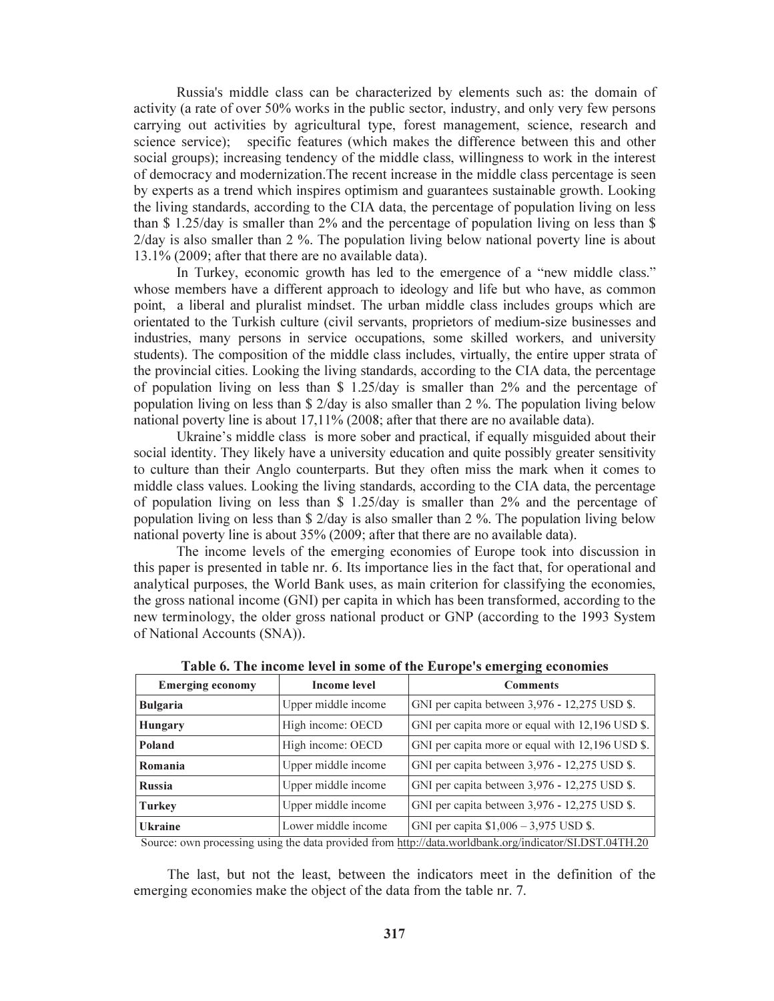Russia's middle class can be characterized by elements such as: the domain of activity (a rate of over 50% works in the public sector, industry, and only very few persons carrying out activities by agricultural type, forest management, science, research and science service); specific features (which makes the difference between this and other social groups); increasing tendency of the middle class, willingness to work in the interest of democracy and modernization.The recent increase in the middle class percentage is seen by experts as a trend which inspires optimism and guarantees sustainable growth. Looking the living standards, according to the CIA data, the percentage of population living on less than \$ 1.25/day is smaller than 2% and the percentage of population living on less than \$ 2/day is also smaller than 2 %. The population living below national poverty line is about 13.1% (2009; after that there are no available data).

In Turkey, economic growth has led to the emergence of a "new middle class." whose members have a different approach to ideology and life but who have, as common point, a liberal and pluralist mindset. The urban middle class includes groups which are orientated to the Turkish culture (civil servants, proprietors of medium-size businesses and industries, many persons in service occupations, some skilled workers, and university students). The composition of the middle class includes, virtually, the entire upper strata of the provincial cities. Looking the living standards, according to the CIA data, the percentage of population living on less than \$ 1.25/day is smaller than 2% and the percentage of population living on less than \$ 2/day is also smaller than 2 %. The population living below national poverty line is about 17,11% (2008; after that there are no available data).

Ukraine's middle class is more sober and practical, if equally misguided about their social identity. They likely have a university education and quite possibly greater sensitivity to culture than their Anglo counterparts. But they often miss the mark when it comes to middle class values. Looking the living standards, according to the CIA data, the percentage of population living on less than \$ 1.25/day is smaller than 2% and the percentage of population living on less than \$ 2/day is also smaller than 2 %. The population living below national poverty line is about 35% (2009; after that there are no available data).

The income levels of the emerging economies of Europe took into discussion in this paper is presented in table nr. 6. Its importance lies in the fact that, for operational and analytical purposes, the World Bank uses, as main criterion for classifying the economies, the gross national income (GNI) per capita in which has been transformed, according to the new terminology, the older gross national product or GNP (according to the 1993 System of National Accounts (SNA)).

| <b>Emerging economy</b> | <b>Income level</b> | <del>.</del><br><b>Comments</b>                  |  |  |  |
|-------------------------|---------------------|--------------------------------------------------|--|--|--|
| <b>Bulgaria</b>         | Upper middle income | GNI per capita between 3,976 - 12,275 USD \$.    |  |  |  |
| <b>Hungary</b>          | High income: OECD   | GNI per capita more or equal with 12,196 USD \$. |  |  |  |
| Poland                  | High income: OECD   | GNI per capita more or equal with 12,196 USD \$. |  |  |  |
| Romania                 | Upper middle income | GNI per capita between 3,976 - 12,275 USD \$.    |  |  |  |
| <b>Russia</b>           | Upper middle income | GNI per capita between 3,976 - 12,275 USD \$.    |  |  |  |
| <b>Turkey</b>           | Upper middle income | GNI per capita between 3,976 - 12,275 USD \$.    |  |  |  |
| <b>Ukraine</b>          | Lower middle income | GNI per capita $$1,006 - 3,975$ USD \$.          |  |  |  |

Table 6. The income level in some of the Europe's emerging economies

Source: own processing using the data provided from http://data.worldbank.org/indicator/SI.DST.04TH.20

The last, but not the least, between the indicators meet in the definition of the emerging economies make the object of the data from the table nr. 7.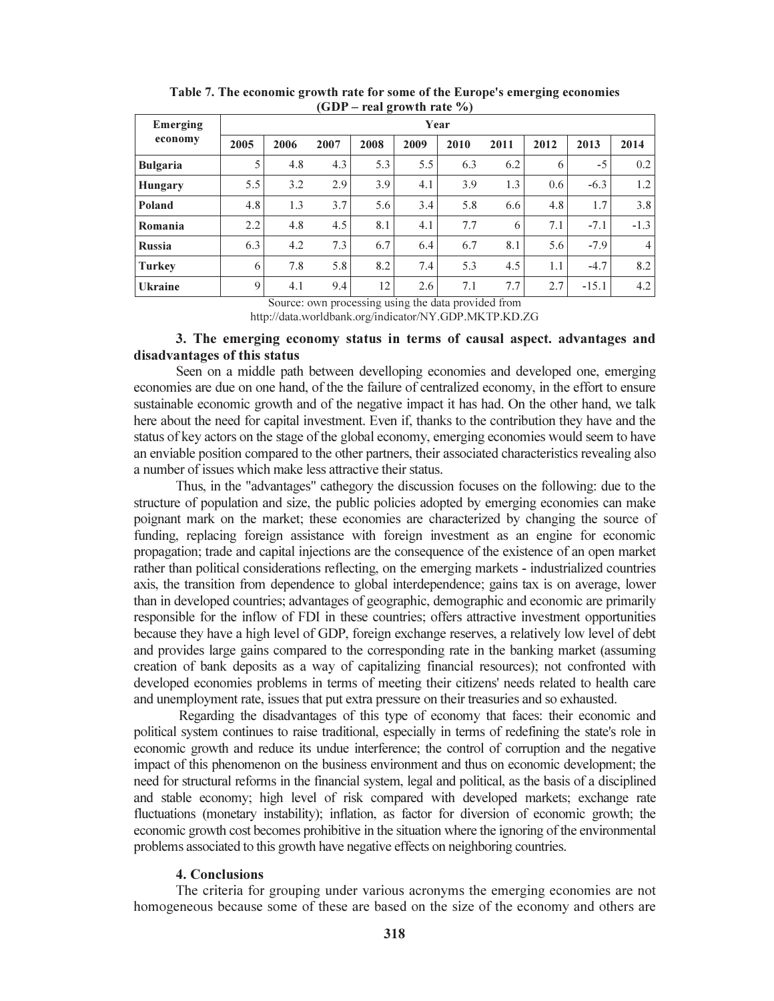| Emerging        | $H^2 \times H^2 \times H^2 \times H^2 \times H^2$<br>Year |      |      |      |      |      |      |      |         |                |
|-----------------|-----------------------------------------------------------|------|------|------|------|------|------|------|---------|----------------|
| economy         | 2005                                                      | 2006 | 2007 | 2008 | 2009 | 2010 | 2011 | 2012 | 2013    | 2014           |
| <b>Bulgaria</b> | 5                                                         | 4.8  | 4.3  | 5.3  | 5.5  | 6.3  | 6.2  | 6    | $-5$    | 0.2            |
| <b>Hungary</b>  | 5.5                                                       | 3.2  | 2.9  | 3.9  | 4.1  | 3.9  | 1.3  | 0.6  | $-6.3$  | 1.2            |
| Poland          | 4.8                                                       | 1.3  | 3.7  | 5.6  | 3.4  | 5.8  | 6.6  | 4.8  | 1.7     | 3.8            |
| Romania         | 2.2                                                       | 4.8  | 4.5  | 8.1  | 4.1  | 7.7  | 6    | 7.1  | $-7.1$  | $-1.3$         |
| <b>Russia</b>   | 6.3                                                       | 4.2  | 7.3  | 6.7  | 6.4  | 6.7  | 8.1  | 5.6  | $-7.9$  | $\overline{4}$ |
| <b>Turkey</b>   | 6                                                         | 7.8  | 5.8  | 8.2  | 7.4  | 5.3  | 4.5  | 1.1  | $-4.7$  | 8.2            |
| <b>Ukraine</b>  | 9                                                         | 4.1  | 9.4  | 12   | 2.6  | 7.1  | 7.7  | 2.7  | $-15.1$ | 4.2            |

Table 7. The economic growth rate for some of the Europe's emerging economies  $(GDP - real growth rate %)$ 

Source: own processing using the data provided from http://data.worldbank.org/indicator/NY.GDP.MKTP.KD.ZG

### 3. The emerging economy status in terms of causal aspect. advantages and disadvantages of this status

Seen on a middle path between develloping economies and developed one, emerging economies are due on one hand, of the the failure of centralized economy, in the effort to ensure sustainable economic growth and of the negative impact it has had. On the other hand, we talk here about the need for capital investment. Even if, thanks to the contribution they have and the status of key actors on the stage of the global economy, emerging economies would seem to have an enviable position compared to the other partners, their associated characteristics revealing also a number of issues which make less attractive their status.

Thus, in the "advantages" cathegory the discussion focuses on the following: due to the structure of population and size, the public policies adopted by emerging economies can make poignant mark on the market; these economies are characterized by changing the source of funding, replacing foreign assistance with foreign investment as an engine for economic propagation; trade and capital injections are the consequence of the existence of an open market rather than political considerations reflecting, on the emerging markets - industrialized countries axis, the transition from dependence to global interdependence; gains tax is on average, lower than in developed countries; advantages of geographic, demographic and economic are primarily responsible for the inflow of FDI in these countries; offers attractive investment opportunities because they have a high level of GDP, foreign exchange reserves, a relatively low level of debt and provides large gains compared to the corresponding rate in the banking market (assuming creation of bank deposits as a way of capitalizing financial resources); not confronted with developed economies problems in terms of meeting their citizens' needs related to health care and unemployment rate, issues that put extra pressure on their treasuries and so exhausted.

 Regarding the disadvantages of this type of economy that faces: their economic and political system continues to raise traditional, especially in terms of redefining the state's role in economic growth and reduce its undue interference; the control of corruption and the negative impact of this phenomenon on the business environment and thus on economic development; the need for structural reforms in the financial system, legal and political, as the basis of a disciplined and stable economy; high level of risk compared with developed markets; exchange rate fluctuations (monetary instability); inflation, as factor for diversion of economic growth; the economic growth cost becomes prohibitive in the situation where the ignoring of the environmental problems associated to this growth have negative effects on neighboring countries.

#### 4. Conclusions

The criteria for grouping under various acronyms the emerging economies are not homogeneous because some of these are based on the size of the economy and others are